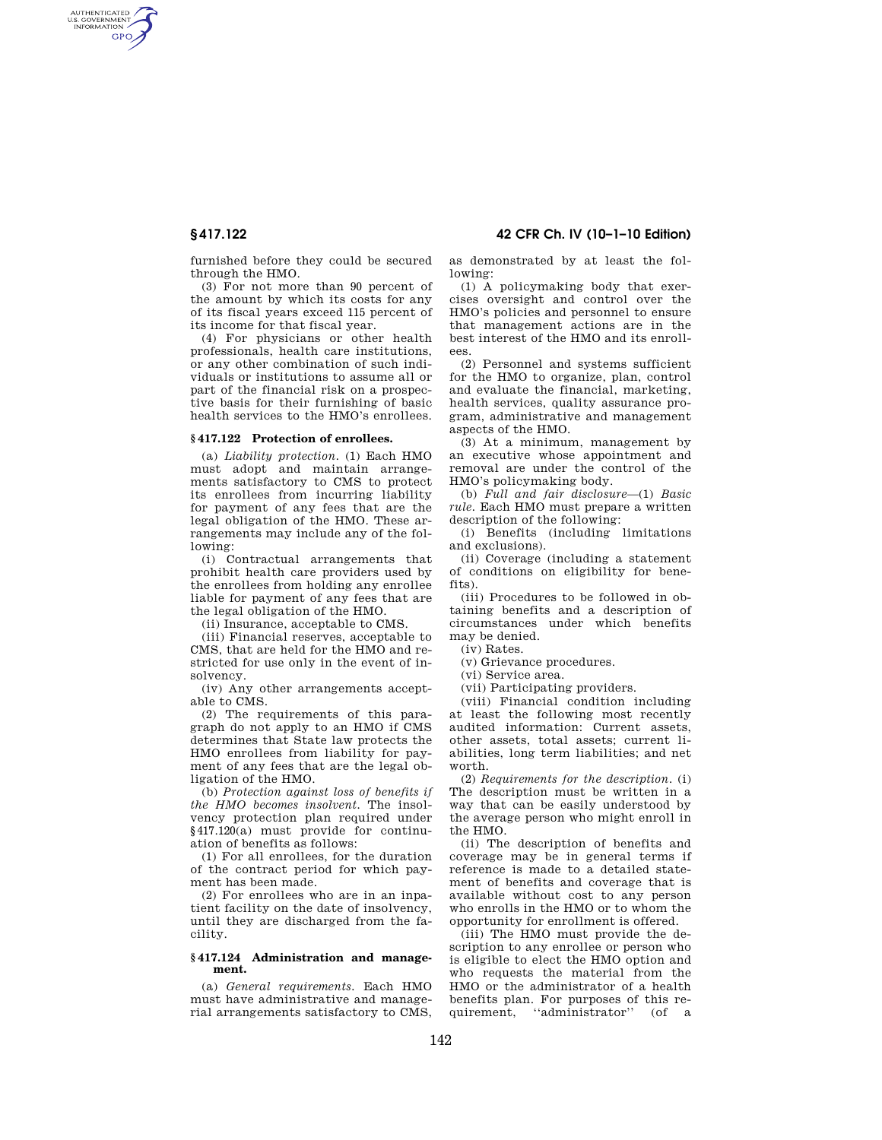AUTHENTICATED<br>U.S. GOVERNMENT<br>INFORMATION **GPO** 

**§ 417.122 42 CFR Ch. IV (10–1–10 Edition)** 

furnished before they could be secured through the HMO.

(3) For not more than 90 percent of the amount by which its costs for any of its fiscal years exceed 115 percent of its income for that fiscal year.

(4) For physicians or other health professionals, health care institutions, or any other combination of such individuals or institutions to assume all or part of the financial risk on a prospective basis for their furnishing of basic health services to the HMO's enrollees.

### **§ 417.122 Protection of enrollees.**

(a) *Liability protection.* (1) Each HMO must adopt and maintain arrangements satisfactory to CMS to protect its enrollees from incurring liability for payment of any fees that are the legal obligation of the HMO. These arrangements may include any of the following:

(i) Contractual arrangements that prohibit health care providers used by the enrollees from holding any enrollee liable for payment of any fees that are the legal obligation of the HMO.

(ii) Insurance, acceptable to CMS.

(iii) Financial reserves, acceptable to CMS, that are held for the HMO and restricted for use only in the event of insolvency.

(iv) Any other arrangements acceptable to CMS.

(2) The requirements of this paragraph do not apply to an HMO if CMS determines that State law protects the HMO enrollees from liability for payment of any fees that are the legal obligation of the HMO.

(b) *Protection against loss of benefits if the HMO becomes insolvent.* The insolvency protection plan required under §417.120(a) must provide for continuation of benefits as follows:

(1) For all enrollees, for the duration of the contract period for which payment has been made.

(2) For enrollees who are in an inpatient facility on the date of insolvency, until they are discharged from the facility.

#### **§ 417.124 Administration and management.**

(a) *General requirements.* Each HMO must have administrative and managerial arrangements satisfactory to CMS, as demonstrated by at least the following:

(1) A policymaking body that exercises oversight and control over the HMO's policies and personnel to ensure that management actions are in the best interest of the HMO and its enrollees.

(2) Personnel and systems sufficient for the HMO to organize, plan, control and evaluate the financial, marketing, health services, quality assurance program, administrative and management aspects of the HMO.

(3) At a minimum, management by an executive whose appointment and removal are under the control of the HMO's policymaking body.

(b) *Full and fair disclosure*—(1) *Basic rule.* Each HMO must prepare a written description of the following:

(i) Benefits (including limitations and exclusions).

(ii) Coverage (including a statement of conditions on eligibility for benefits).

(iii) Procedures to be followed in obtaining benefits and a description of circumstances under which benefits may be denied.

(iv) Rates.

(v) Grievance procedures.

(vi) Service area.

(vii) Participating providers.

(viii) Financial condition including at least the following most recently audited information: Current assets, other assets, total assets; current liabilities, long term liabilities; and net worth.

(2) *Requirements for the description.* (i) The description must be written in a way that can be easily understood by the average person who might enroll in the HMO.

(ii) The description of benefits and coverage may be in general terms if reference is made to a detailed statement of benefits and coverage that is available without cost to any person who enrolls in the HMO or to whom the opportunity for enrollment is offered.

(iii) The HMO must provide the description to any enrollee or person who is eligible to elect the HMO option and who requests the material from the HMO or the administrator of a health benefits plan. For purposes of this re-<br>quirement "administrator" (of a "administrator" (of a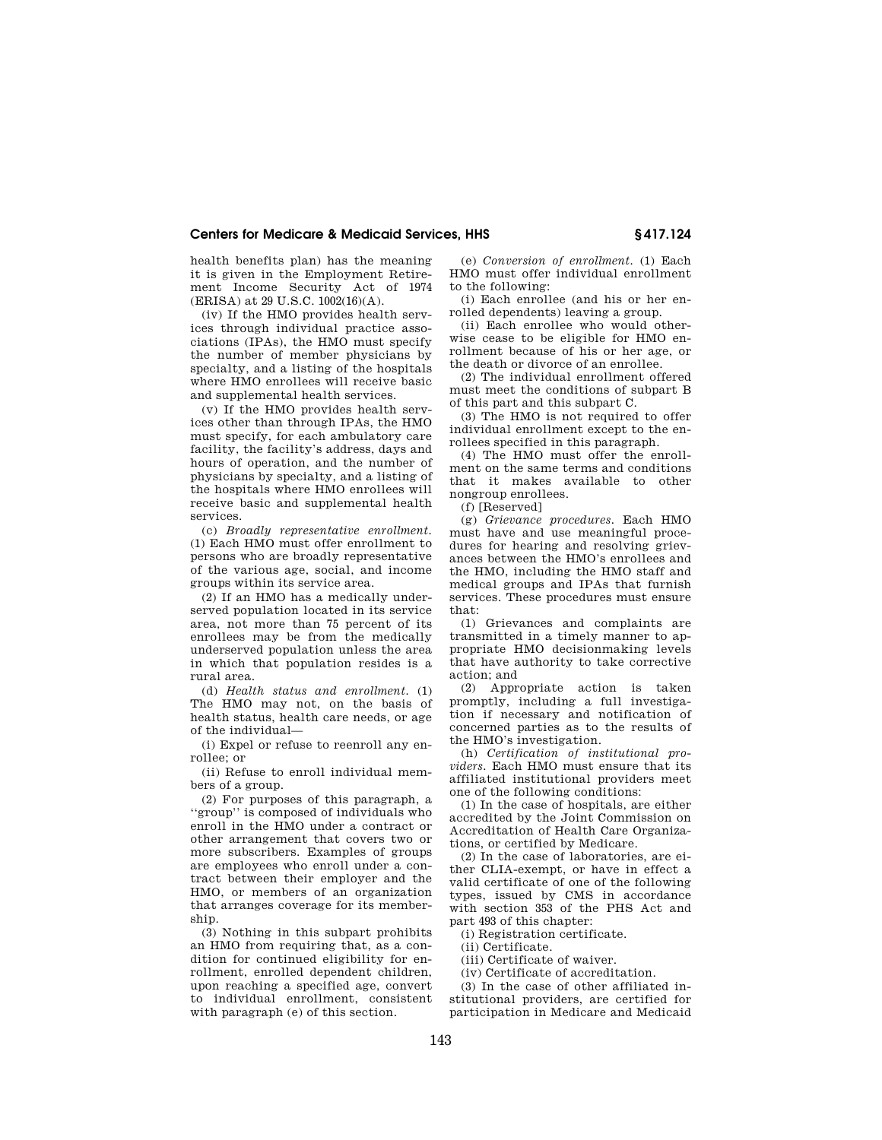# **Centers for Medicare & Medicaid Services, HHS § 417.124**

health benefits plan) has the meaning it is given in the Employment Retirement Income Security Act of 1974 (ERISA) at 29 U.S.C. 1002(16)(A).

(iv) If the HMO provides health services through individual practice associations (IPAs), the HMO must specify the number of member physicians by specialty, and a listing of the hospitals where HMO enrollees will receive basic and supplemental health services.

(v) If the HMO provides health services other than through IPAs, the HMO must specify, for each ambulatory care facility, the facility's address, days and hours of operation, and the number of physicians by specialty, and a listing of the hospitals where HMO enrollees will receive basic and supplemental health services.

(c) *Broadly representative enrollment.*  (1) Each HMO must offer enrollment to persons who are broadly representative of the various age, social, and income groups within its service area.

(2) If an HMO has a medically underserved population located in its service area, not more than 75 percent of its enrollees may be from the medically underserved population unless the area in which that population resides is a rural area.

(d) *Health status and enrollment.* (1) The HMO may not, on the basis of health status, health care needs, or age of the individual—

(i) Expel or refuse to reenroll any enrollee; or

(ii) Refuse to enroll individual members of a group.

(2) For purposes of this paragraph, a ''group'' is composed of individuals who enroll in the HMO under a contract or other arrangement that covers two or more subscribers. Examples of groups are employees who enroll under a contract between their employer and the HMO, or members of an organization that arranges coverage for its membership.

(3) Nothing in this subpart prohibits an HMO from requiring that, as a condition for continued eligibility for enrollment, enrolled dependent children, upon reaching a specified age, convert to individual enrollment, consistent with paragraph (e) of this section.

(e) *Conversion of enrollment.* (1) Each HMO must offer individual enrollment to the following:

(i) Each enrollee (and his or her enrolled dependents) leaving a group.

(ii) Each enrollee who would otherwise cease to be eligible for HMO enrollment because of his or her age, or the death or divorce of an enrollee.

(2) The individual enrollment offered must meet the conditions of subpart B of this part and this subpart C.

(3) The HMO is not required to offer individual enrollment except to the enrollees specified in this paragraph.

(4) The HMO must offer the enrollment on the same terms and conditions that it makes available to other nongroup enrollees.

(f) [Reserved]

(g) *Grievance procedures.* Each HMO must have and use meaningful procedures for hearing and resolving grievances between the HMO's enrollees and the HMO, including the HMO staff and medical groups and IPAs that furnish services. These procedures must ensure that:

(1) Grievances and complaints are transmitted in a timely manner to appropriate HMO decisionmaking levels that have authority to take corrective action; and

(2) Appropriate action is taken promptly, including a full investigation if necessary and notification of concerned parties as to the results of the HMO's investigation.

(h) *Certification of institutional providers.* Each HMO must ensure that its affiliated institutional providers meet one of the following conditions:

(1) In the case of hospitals, are either accredited by the Joint Commission on Accreditation of Health Care Organizations, or certified by Medicare.

 $(2)$  In the case of laboratories, are either CLIA-exempt, or have in effect a valid certificate of one of the following types, issued by CMS in accordance with section 353 of the PHS Act and part 493 of this chapter:

(i) Registration certificate.

(ii) Certificate.

(iii) Certificate of waiver.

(iv) Certificate of accreditation.

(3) In the case of other affiliated institutional providers, are certified for participation in Medicare and Medicaid